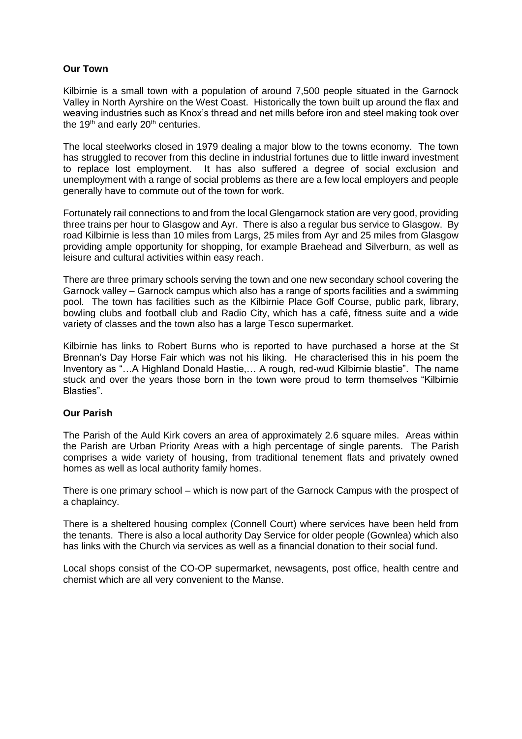# **Our Town**

Kilbirnie is a small town with a population of around 7,500 people situated in the Garnock Valley in North Ayrshire on the West Coast. Historically the town built up around the flax and weaving industries such as Knox's thread and net mills before iron and steel making took over the  $19<sup>th</sup>$  and early  $20<sup>th</sup>$  centuries.

The local steelworks closed in 1979 dealing a major blow to the towns economy. The town has struggled to recover from this decline in industrial fortunes due to little inward investment to replace lost employment. It has also suffered a degree of social exclusion and unemployment with a range of social problems as there are a few local employers and people generally have to commute out of the town for work.

Fortunately rail connections to and from the local Glengarnock station are very good, providing three trains per hour to Glasgow and Ayr. There is also a regular bus service to Glasgow. By road Kilbirnie is less than 10 miles from Largs, 25 miles from Ayr and 25 miles from Glasgow providing ample opportunity for shopping, for example Braehead and Silverburn, as well as leisure and cultural activities within easy reach.

There are three primary schools serving the town and one new secondary school covering the Garnock valley – Garnock campus which also has a range of sports facilities and a swimming pool. The town has facilities such as the Kilbirnie Place Golf Course, public park, library, bowling clubs and football club and Radio City, which has a café, fitness suite and a wide variety of classes and the town also has a large Tesco supermarket.

Kilbirnie has links to Robert Burns who is reported to have purchased a horse at the St Brennan's Day Horse Fair which was not his liking. He characterised this in his poem the Inventory as "…A Highland Donald Hastie,… A rough, red-wud Kilbirnie blastie". The name stuck and over the years those born in the town were proud to term themselves "Kilbirnie Blasties".

# **Our Parish**

The Parish of the Auld Kirk covers an area of approximately 2.6 square miles. Areas within the Parish are Urban Priority Areas with a high percentage of single parents. The Parish comprises a wide variety of housing, from traditional tenement flats and privately owned homes as well as local authority family homes.

There is one primary school – which is now part of the Garnock Campus with the prospect of a chaplaincy.

There is a sheltered housing complex (Connell Court) where services have been held from the tenants. There is also a local authority Day Service for older people (Gownlea) which also has links with the Church via services as well as a financial donation to their social fund.

Local shops consist of the CO-OP supermarket, newsagents, post office, health centre and chemist which are all very convenient to the Manse.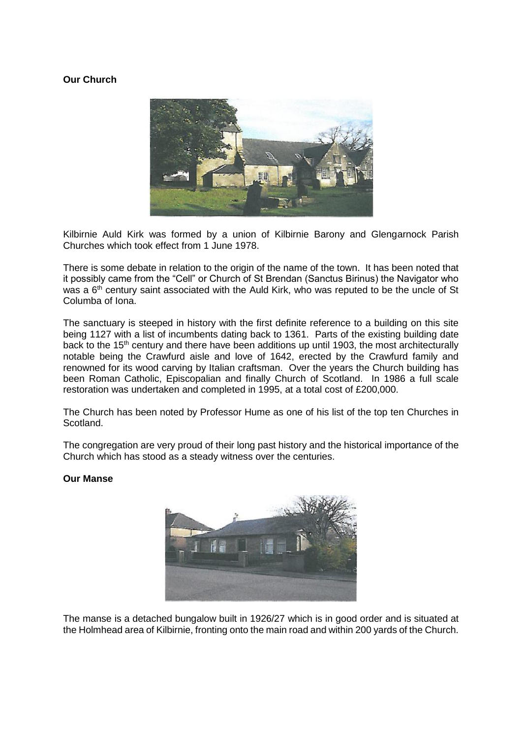# **Our Church**



Kilbirnie Auld Kirk was formed by a union of Kilbirnie Barony and Glengarnock Parish Churches which took effect from 1 June 1978.

There is some debate in relation to the origin of the name of the town. It has been noted that it possibly came from the "Cell" or Church of St Brendan (Sanctus Birinus) the Navigator who was a 6<sup>th</sup> century saint associated with the Auld Kirk, who was reputed to be the uncle of St Columba of Iona.

The sanctuary is steeped in history with the first definite reference to a building on this site being 1127 with a list of incumbents dating back to 1361. Parts of the existing building date back to the  $15<sup>th</sup>$  century and there have been additions up until 1903, the most architecturally notable being the Crawfurd aisle and love of 1642, erected by the Crawfurd family and renowned for its wood carving by Italian craftsman. Over the years the Church building has been Roman Catholic, Episcopalian and finally Church of Scotland. In 1986 a full scale restoration was undertaken and completed in 1995, at a total cost of £200,000.

The Church has been noted by Professor Hume as one of his list of the top ten Churches in Scotland.

The congregation are very proud of their long past history and the historical importance of the Church which has stood as a steady witness over the centuries.

#### **Our Manse**



The manse is a detached bungalow built in 1926/27 which is in good order and is situated at the Holmhead area of Kilbirnie, fronting onto the main road and within 200 yards of the Church.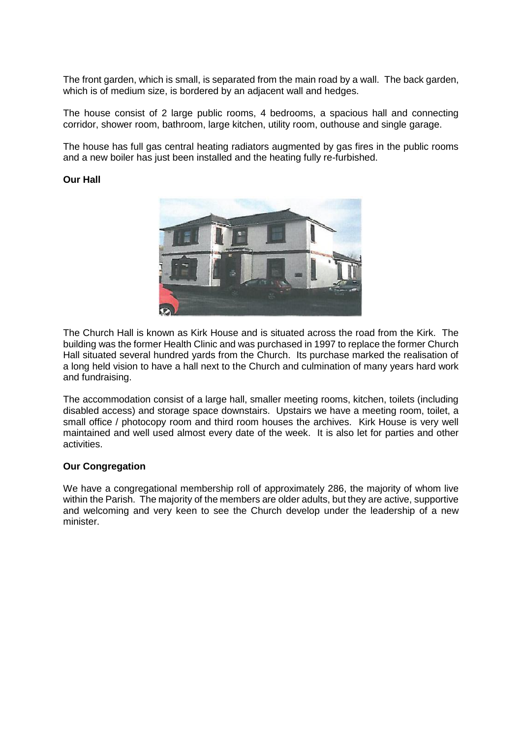The front garden, which is small, is separated from the main road by a wall. The back garden, which is of medium size, is bordered by an adjacent wall and hedges.

The house consist of 2 large public rooms, 4 bedrooms, a spacious hall and connecting corridor, shower room, bathroom, large kitchen, utility room, outhouse and single garage.

The house has full gas central heating radiators augmented by gas fires in the public rooms and a new boiler has just been installed and the heating fully re-furbished.

### **Our Hall**



The Church Hall is known as Kirk House and is situated across the road from the Kirk. The building was the former Health Clinic and was purchased in 1997 to replace the former Church Hall situated several hundred yards from the Church. Its purchase marked the realisation of a long held vision to have a hall next to the Church and culmination of many years hard work and fundraising.

The accommodation consist of a large hall, smaller meeting rooms, kitchen, toilets (including disabled access) and storage space downstairs. Upstairs we have a meeting room, toilet, a small office / photocopy room and third room houses the archives. Kirk House is very well maintained and well used almost every date of the week. It is also let for parties and other activities.

### **Our Congregation**

We have a congregational membership roll of approximately 286, the majority of whom live within the Parish. The majority of the members are older adults, but they are active, supportive and welcoming and very keen to see the Church develop under the leadership of a new minister.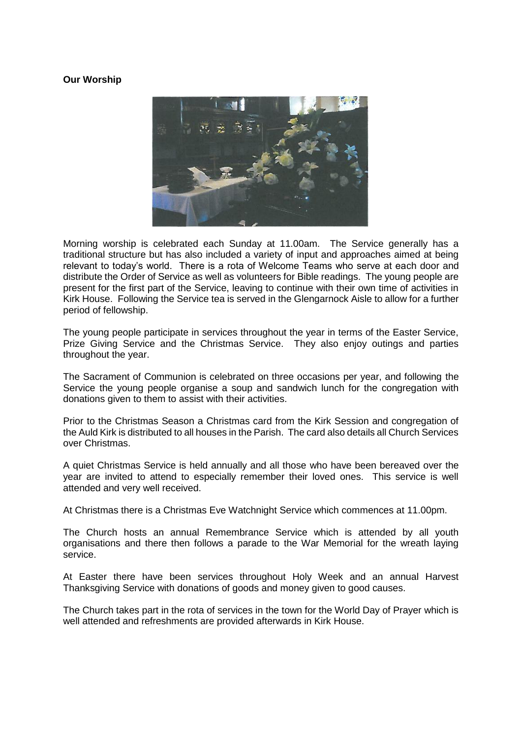# **Our Worship**



Morning worship is celebrated each Sunday at 11.00am. The Service generally has a traditional structure but has also included a variety of input and approaches aimed at being relevant to today's world. There is a rota of Welcome Teams who serve at each door and distribute the Order of Service as well as volunteers for Bible readings. The young people are present for the first part of the Service, leaving to continue with their own time of activities in Kirk House. Following the Service tea is served in the Glengarnock Aisle to allow for a further period of fellowship.

The young people participate in services throughout the year in terms of the Easter Service, Prize Giving Service and the Christmas Service. They also enjoy outings and parties throughout the year.

The Sacrament of Communion is celebrated on three occasions per year, and following the Service the young people organise a soup and sandwich lunch for the congregation with donations given to them to assist with their activities.

Prior to the Christmas Season a Christmas card from the Kirk Session and congregation of the Auld Kirk is distributed to all houses in the Parish. The card also details all Church Services over Christmas.

A quiet Christmas Service is held annually and all those who have been bereaved over the year are invited to attend to especially remember their loved ones. This service is well attended and very well received.

At Christmas there is a Christmas Eve Watchnight Service which commences at 11.00pm.

The Church hosts an annual Remembrance Service which is attended by all youth organisations and there then follows a parade to the War Memorial for the wreath laying service.

At Easter there have been services throughout Holy Week and an annual Harvest Thanksgiving Service with donations of goods and money given to good causes.

The Church takes part in the rota of services in the town for the World Day of Prayer which is well attended and refreshments are provided afterwards in Kirk House.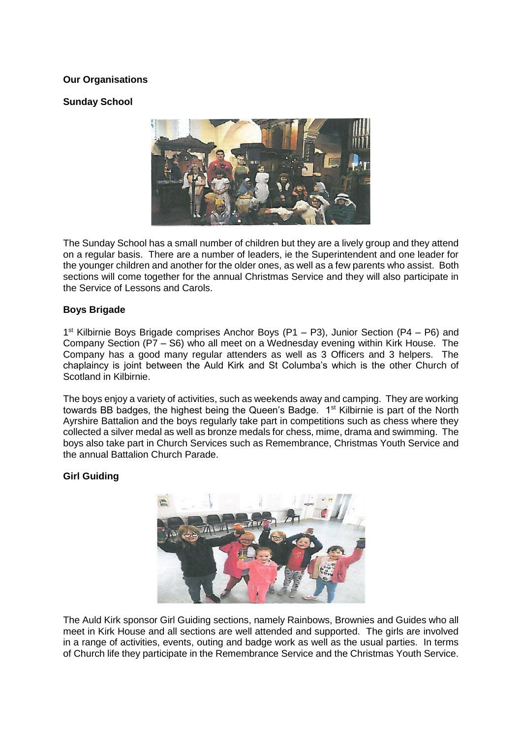# **Our Organisations**

# **Sunday School**



The Sunday School has a small number of children but they are a lively group and they attend on a regular basis. There are a number of leaders, ie the Superintendent and one leader for the younger children and another for the older ones, as well as a few parents who assist. Both sections will come together for the annual Christmas Service and they will also participate in the Service of Lessons and Carols.

# **Boys Brigade**

1<sup>st</sup> Kilbirnie Boys Brigade comprises Anchor Boys (P1 – P3), Junior Section (P4 – P6) and Company Section (P7 – S6) who all meet on a Wednesday evening within Kirk House. The Company has a good many regular attenders as well as 3 Officers and 3 helpers. The chaplaincy is joint between the Auld Kirk and St Columba's which is the other Church of Scotland in Kilbirnie.

The boys enjoy a variety of activities, such as weekends away and camping. They are working towards BB badges, the highest being the Queen's Badge. 1st Kilbirnie is part of the North Ayrshire Battalion and the boys regularly take part in competitions such as chess where they collected a silver medal as well as bronze medals for chess, mime, drama and swimming. The boys also take part in Church Services such as Remembrance, Christmas Youth Service and the annual Battalion Church Parade.

# **Girl Guiding**



The Auld Kirk sponsor Girl Guiding sections, namely Rainbows, Brownies and Guides who all meet in Kirk House and all sections are well attended and supported. The girls are involved in a range of activities, events, outing and badge work as well as the usual parties. In terms of Church life they participate in the Remembrance Service and the Christmas Youth Service.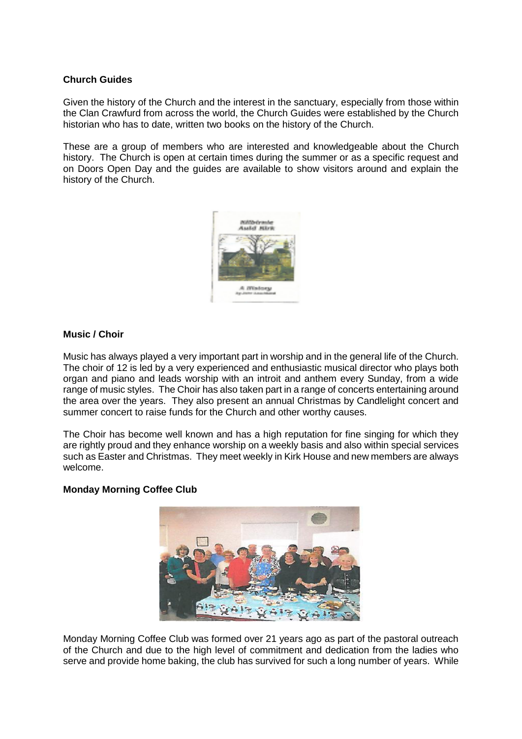# **Church Guides**

Given the history of the Church and the interest in the sanctuary, especially from those within the Clan Crawfurd from across the world, the Church Guides were established by the Church historian who has to date, written two books on the history of the Church.

These are a group of members who are interested and knowledgeable about the Church history. The Church is open at certain times during the summer or as a specific request and on Doors Open Day and the guides are available to show visitors around and explain the history of the Church.



### **Music / Choir**

Music has always played a very important part in worship and in the general life of the Church. The choir of 12 is led by a very experienced and enthusiastic musical director who plays both organ and piano and leads worship with an introit and anthem every Sunday, from a wide range of music styles. The Choir has also taken part in a range of concerts entertaining around the area over the years. They also present an annual Christmas by Candlelight concert and summer concert to raise funds for the Church and other worthy causes.

The Choir has become well known and has a high reputation for fine singing for which they are rightly proud and they enhance worship on a weekly basis and also within special services such as Easter and Christmas. They meet weekly in Kirk House and new members are always welcome.

#### **Monday Morning Coffee Club**



Monday Morning Coffee Club was formed over 21 years ago as part of the pastoral outreach of the Church and due to the high level of commitment and dedication from the ladies who serve and provide home baking, the club has survived for such a long number of years. While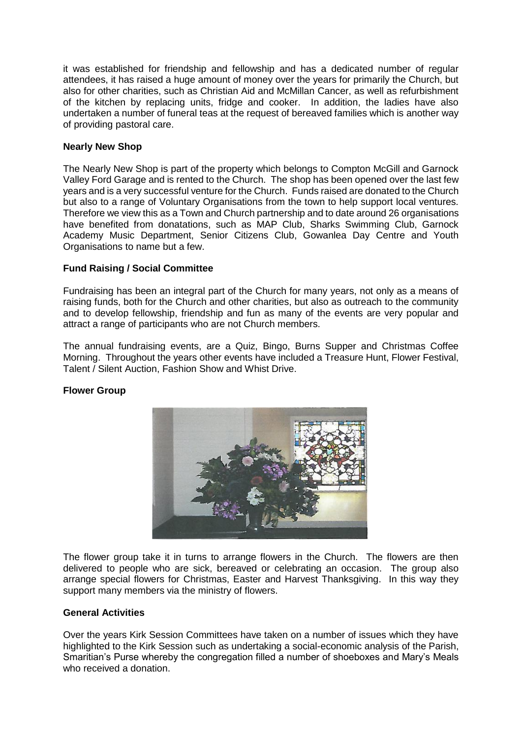it was established for friendship and fellowship and has a dedicated number of regular attendees, it has raised a huge amount of money over the years for primarily the Church, but also for other charities, such as Christian Aid and McMillan Cancer, as well as refurbishment of the kitchen by replacing units, fridge and cooker. In addition, the ladies have also undertaken a number of funeral teas at the request of bereaved families which is another way of providing pastoral care.

# **Nearly New Shop**

The Nearly New Shop is part of the property which belongs to Compton McGill and Garnock Valley Ford Garage and is rented to the Church. The shop has been opened over the last few years and is a very successful venture for the Church. Funds raised are donated to the Church but also to a range of Voluntary Organisations from the town to help support local ventures. Therefore we view this as a Town and Church partnership and to date around 26 organisations have benefited from donatations, such as MAP Club, Sharks Swimming Club, Garnock Academy Music Department, Senior Citizens Club, Gowanlea Day Centre and Youth Organisations to name but a few.

# **Fund Raising / Social Committee**

Fundraising has been an integral part of the Church for many years, not only as a means of raising funds, both for the Church and other charities, but also as outreach to the community and to develop fellowship, friendship and fun as many of the events are very popular and attract a range of participants who are not Church members.

The annual fundraising events, are a Quiz, Bingo, Burns Supper and Christmas Coffee Morning. Throughout the years other events have included a Treasure Hunt, Flower Festival, Talent / Silent Auction, Fashion Show and Whist Drive.

# **Flower Group**



The flower group take it in turns to arrange flowers in the Church. The flowers are then delivered to people who are sick, bereaved or celebrating an occasion. The group also arrange special flowers for Christmas, Easter and Harvest Thanksgiving. In this way they support many members via the ministry of flowers.

### **General Activities**

Over the years Kirk Session Committees have taken on a number of issues which they have highlighted to the Kirk Session such as undertaking a social-economic analysis of the Parish, Smaritian's Purse whereby the congregation filled a number of shoeboxes and Mary's Meals who received a donation.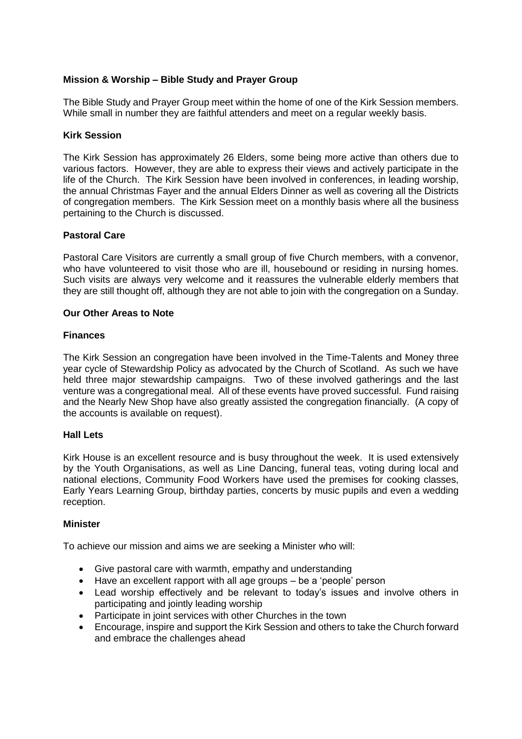# **Mission & Worship – Bible Study and Prayer Group**

The Bible Study and Prayer Group meet within the home of one of the Kirk Session members. While small in number they are faithful attenders and meet on a regular weekly basis.

### **Kirk Session**

The Kirk Session has approximately 26 Elders, some being more active than others due to various factors. However, they are able to express their views and actively participate in the life of the Church. The Kirk Session have been involved in conferences, in leading worship, the annual Christmas Fayer and the annual Elders Dinner as well as covering all the Districts of congregation members. The Kirk Session meet on a monthly basis where all the business pertaining to the Church is discussed.

### **Pastoral Care**

Pastoral Care Visitors are currently a small group of five Church members, with a convenor, who have volunteered to visit those who are ill, housebound or residing in nursing homes. Such visits are always very welcome and it reassures the vulnerable elderly members that they are still thought off, although they are not able to join with the congregation on a Sunday.

### **Our Other Areas to Note**

#### **Finances**

The Kirk Session an congregation have been involved in the Time-Talents and Money three year cycle of Stewardship Policy as advocated by the Church of Scotland. As such we have held three major stewardship campaigns. Two of these involved gatherings and the last venture was a congregational meal. All of these events have proved successful. Fund raising and the Nearly New Shop have also greatly assisted the congregation financially. (A copy of the accounts is available on request).

#### **Hall Lets**

Kirk House is an excellent resource and is busy throughout the week. It is used extensively by the Youth Organisations, as well as Line Dancing, funeral teas, voting during local and national elections, Community Food Workers have used the premises for cooking classes, Early Years Learning Group, birthday parties, concerts by music pupils and even a wedding reception.

### **Minister**

To achieve our mission and aims we are seeking a Minister who will:

- Give pastoral care with warmth, empathy and understanding
- Have an excellent rapport with all age groups be a 'people' person
- Lead worship effectively and be relevant to today's issues and involve others in participating and jointly leading worship
- Participate in joint services with other Churches in the town
- Encourage, inspire and support the Kirk Session and others to take the Church forward and embrace the challenges ahead